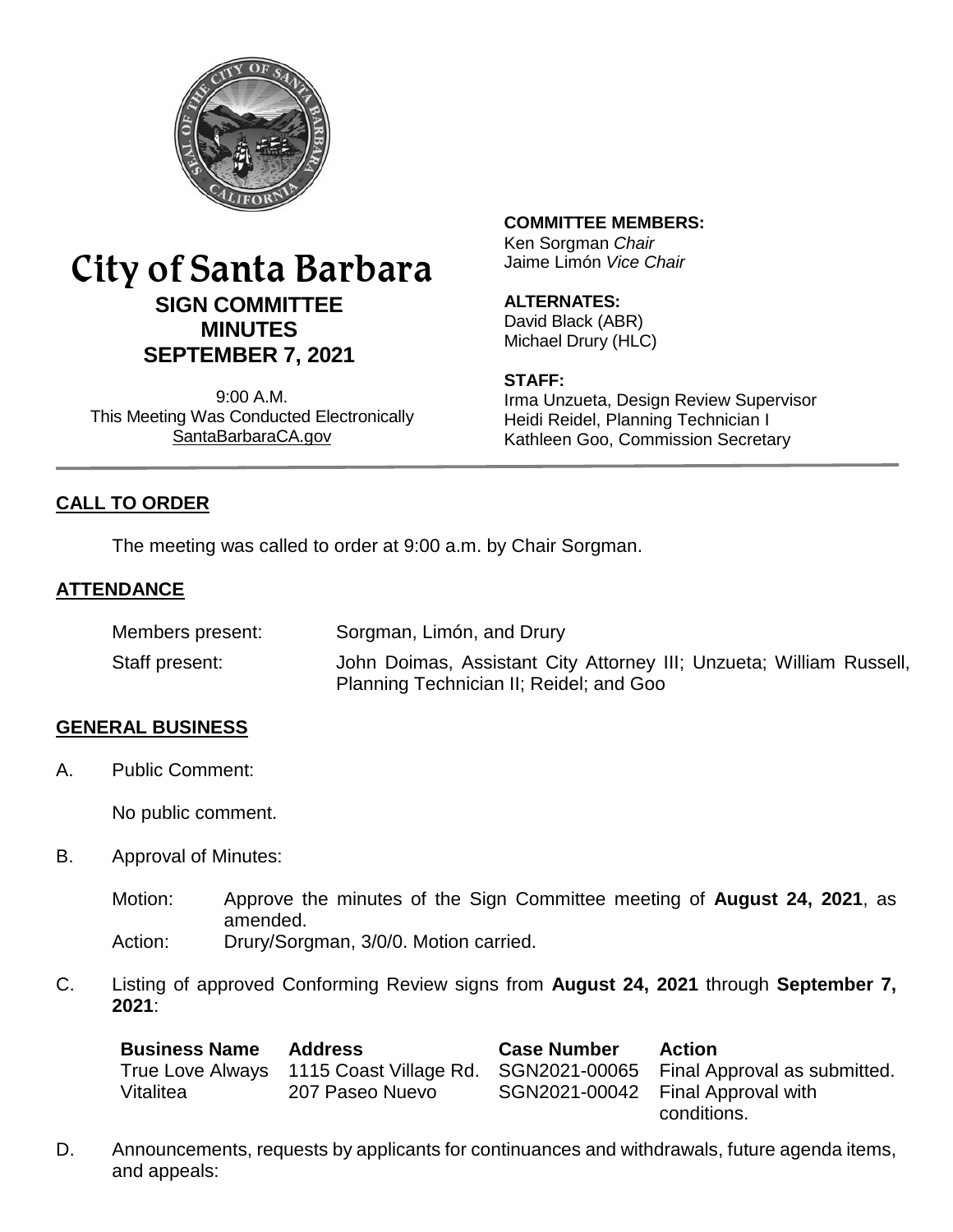

# City of Santa Barbara **SIGN COMMITTEE MINUTES SEPTEMBER 7, 2021**

9:00 A.M. This Meeting Was Conducted Electronically [SantaBarbaraCA.gov](http://www.santabarbaraca.gov/)

## **COMMITTEE MEMBERS:**

Ken Sorgman *Chair* Jaime Limón *Vice Chair*

## **ALTERNATES:**

David Black (ABR) Michael Drury (HLC)

#### **STAFF:**

Irma Unzueta, Design Review Supervisor Heidi Reidel, Planning Technician I Kathleen Goo, Commission Secretary

## **CALL TO ORDER**

The meeting was called to order at 9:00 a.m. by Chair Sorgman.

### **ATTENDANCE**

| Members present: | Sorgman, Limón, and Drury                                                                                      |
|------------------|----------------------------------------------------------------------------------------------------------------|
| Staff present:   | John Doimas, Assistant City Attorney III; Unzueta; William Russell,<br>Planning Technician II; Reidel; and Goo |

#### **GENERAL BUSINESS**

A. Public Comment:

No public comment.

- B. Approval of Minutes:
	- Motion: Approve the minutes of the Sign Committee meeting of **August 24, 2021**, as amended. Action: Drury/Sorgman, 3/0/0. Motion carried.
	-
- C. Listing of approved Conforming Review signs from **August 24, 2021** through **September 7, 2021**:

| <b>Business Name</b> | <b>Address</b>                          | <b>Case Number</b> | <b>Action</b>                                    |
|----------------------|-----------------------------------------|--------------------|--------------------------------------------------|
|                      | True Love Always 1115 Coast Village Rd. |                    | SGN2021-00065 Final Approval as submitted.       |
| Vitalitea            | 207 Paseo Nuevo                         |                    | SGN2021-00042 Final Approval with<br>conditions. |

D. Announcements, requests by applicants for continuances and withdrawals, future agenda items, and appeals: